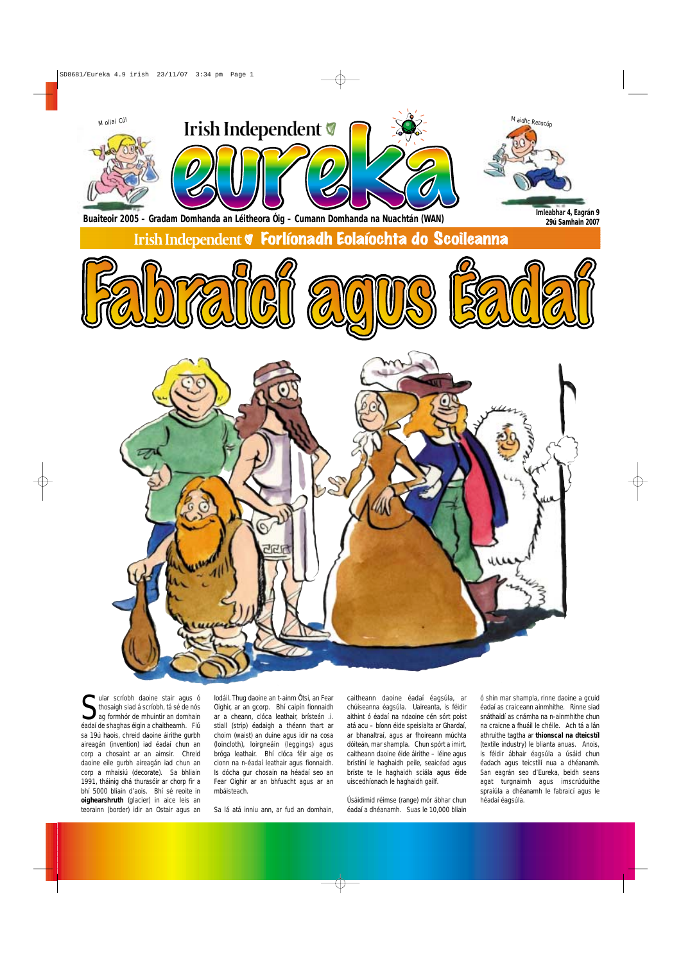Sular scríobh daoine stair agus ó thosaigh siad á scríobh, tá sé de nós<br>ag formhór de mhuintir an domhain ular scríobh daoine stair agus ó thosaigh siad á scríobh, tá sé de nós éadaí de shaghas éigin a chaitheamh. Fiú sa 19ú haois, chreid daoine áirithe gurbh aireagán (invention) iad éadaí chun an corp a chosaint ar an aimsir. Chreid daoine eile gurbh aireagán iad chun an corp a mhaisiú (decorate). Sa bhliain 1991, tháinig dhá thurasóir ar chorp fir a bhí 5000 bliain d'aois. Bhí sé reoite in **oighearshruth** (glacier) in aice leis an teorainn (border) idir an Ostair agus an

Iodáil. Thug daoine an t-ainm Ötsi, an Fear Oighir, ar an gcorp. Bhí caipín fionnaidh ar a cheann, clóca leathair, brísteán .i. stiall (strip) éadaigh a théann thart ar choim (waist) an duine agus idir na cosa (loincloth), loirgneáin (leggings) agus bróga leathair. Bhí clóca féir aige os cionn na n-éadaí leathair agus fionnaidh. Is dócha gur chosain na héadaí seo an Fear Oighir ar an bhfuacht agus ar an mbáisteach.

Sa lá atá inniu ann, ar fud an domhain,



caitheann daoine éadaí éagsúla, ar chúiseanna éagsúla. Uaireanta, is féidir aithint ó éadaí na ndaoine cén sórt poist atá acu – bíonn éide speisialta ar Ghardaí, ar bhanaltraí, agus ar fhoireann múchta dóiteán, mar shampla. Chun spórt a imirt, caitheann daoine éide áirithe – léine agus brístíní le haghaidh peile, seaicéad agus bríste te le haghaidh sciála agus éide uiscedhíonach le haghaidh gailf.

Úsáidimid réimse (range) mór ábhar chun éadaí a dhéanamh. Suas le 10,000 bliain



ó shin mar shampla, rinne daoine a gcuid éadaí as craiceann ainmhithe. Rinne siad snáthaidí as cnámha na n-ainmhithe chun na craicne a fhuáil le chéile. Ach tá a lán athruithe tagtha ar **thionscal na dteicstíl** (textile industry) le blianta anuas. Anois, is féidir ábhair éagsúla a úsáid chun éadach agus teicstílí nua a dhéanamh. San eagrán seo d'Eureka, beidh seans agat turgnaimh agus imscrúduithe spraíúla a dhéanamh le fabraicí agus le héadaí éagsúla.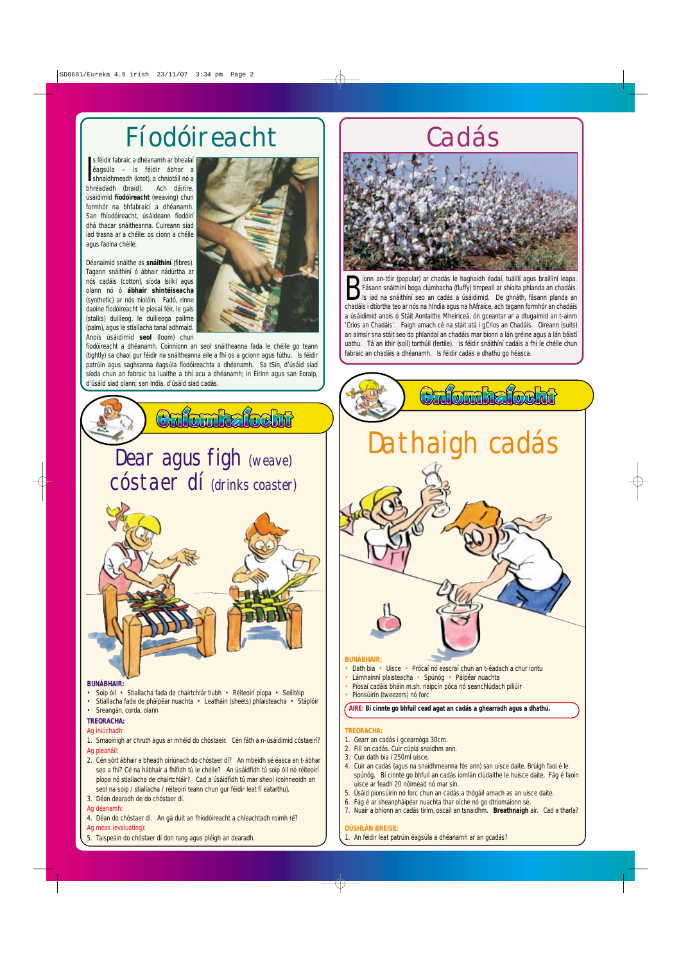**BUNÁBHAIR:**



• Sreangán, corda, olann

## **TREORACHA:**

- 1. Gearr an cadás i gcearnóga 30cm.
- 2. Fill an cadás. Cuir cúpla snaidhm ann.
- 3. Cuir dath bia i 250ml uisce.
- 4. Cuir an cadás (agus na snaidhmeanna fós ann) san uisce daite. Brúigh faoi é le spúnóg. Bí cinnte go bhfuil an cadás iomlán clúdaithe le huisce daite. Fág é faoin uisce ar feadh 20 nóiméad nó mar sin.
- 5. Úsáid pionsúirín nó forc chun an cadás a thógáil amach as an uisce daite.
- 6. Fág é ar sheanpháipéar nuachta thar oíche nó go dtriomaíonn sé.
- 7. Nuair a bhíonn an cadás tirim, oscail an tsnaidhm. **Breathnaigh** air. Cad a tharla?

**B** fásann snáithíní boga clúmhacha (fluffy) timpeall ar shíolta phlanda an chadáis.<br>Is iad na snáithíní seo an cadás a úsáidimid. De ghnáth, fásann planda an chadáis i dtíortha teo ar nós na hIndia agus na hAfraice, ach t íonn an-tóir (popular) ar chadás le haghaidh éadaí, tuáillí agus braillíní leapa. Fásann snáithíní boga clúmhacha (fluffy) timpeall ar shíolta phlanda an chadáis. Is iad na snáithíní seo an cadás a úsáidimid. De ghnáth, fásann planda an a úsáidimid anois ó Stáit Aontaithe Mheiriceá, ón gceantar ar a dtugaimid an t-ainm 'Crios an Chadáis'. Faigh amach cé na stáit atá i gCrios an Chadáis. Oireann (suits) an aimsir sna stáit seo do phlandaí an chadáis mar bíonn a lán gréine agus a lán báistí uathu. Tá an ithir (soil) torthúil (fertile). Is féidir snáithíní cadáis a fhí le chéile chun fabraic an chadáis a dhéanamh. Is féidir cadás a dhathú go héasca.

## **DÚSHLÁN BREISE:**

1. An féidir leat patrúin éagsúla a dhéanamh ar an gcadás?

- 1. Smaoinigh ar chruth agus ar mhéid do chóstaeir. Cén fáth a n-úsáidimid cóstaeirí? *Ag pleanáil:*
- 2. Cén sórt ábhair a bheadh oiriúnach do chóstaer dí? An mbeidh sé éasca an t-ábhar seo a fhí? Cé na hábhair a fhífidh tú le chéile? An úsáidfidh tú soip óil nó réiteoirí píopa nó stiallacha de chairtchláir? Cad a úsáidfidh tú mar sheol (coinneoidh an seol na soip / stiallacha / réiteoirí teann chun gur féidir leat fí eatarthu).
- 3. Déan dearadh de do chóstaer dí.

s féidir fabraic a dhéanamh ar bhealaí<br>
éagsúla — is féidir ábhar a<br>
shnaidhmeadh (knot), a chniotáil nó a<br>
bhréadadh (knot), a cho-dáiríre s féidir fabraic a dhéanamh ar bhealaí éagsúla – is féidir ábhar a bhréadadh (braid). Ach dáiríre, úsáidimid **fíodóireacht** (weaving) chun formhór na bhfabraicí a dhéanamh. San fhíodóireacht, úsáideann fíodóirí dhá thacar snáitheanna. Cuireann siad iad trasna ar a chéile: os cionn a chéile agus faoina chéile.

# Cadás



## **TREORACHA:**

#### *Ag iniúchadh:*

## *Ag déanamh:*

- 4. Déan do chóstaer dí. An gá duit an fhíodóireacht a chleachtadh roimh ré? *Ag meas (evaluating):*
- 5. Taispeáin do chóstaer dí don rang agus pléigh an dearadh.

Déanaimid snáithe as **snáithíní** (fibres). Tagann snáithíní ó ábhair nádúrtha ar nós cadáis (cotton), síoda (silk) agus olann nó ó **ábhair shintéiseacha** (synthetic) ar nós níolóin. Fadó, rinne daoine fíodóireacht le píosaí féir, le gais (stalks) duilleog, le duilleoga pailme (palm), agus le stiallacha tanaí adhmaid. Anois úsáidimid **seol** (loom) chun



fíodóireacht a dhéanamh. Coinníonn an seol snáitheanna fada le chéile go teann (tightly) sa chaoi gur féidir na snáitheanna eile a fhí os a gcionn agus fúthu. Is féidir patrúin agus saghsanna éagsúla fíodóireachta a dhéanamh. Sa tSín, d'úsáid siad síoda chun an fabraic ba luaithe a bhí acu a dhéanamh; in Éirinn agus san Eoraip, d'úsáid siad olann; san India, d'úsáid siad cadás.

# Fíodóireacht

## **AIRE: Bí cinnte go bhfuil cead agat an cadás a ghearradh agus a dhathú.**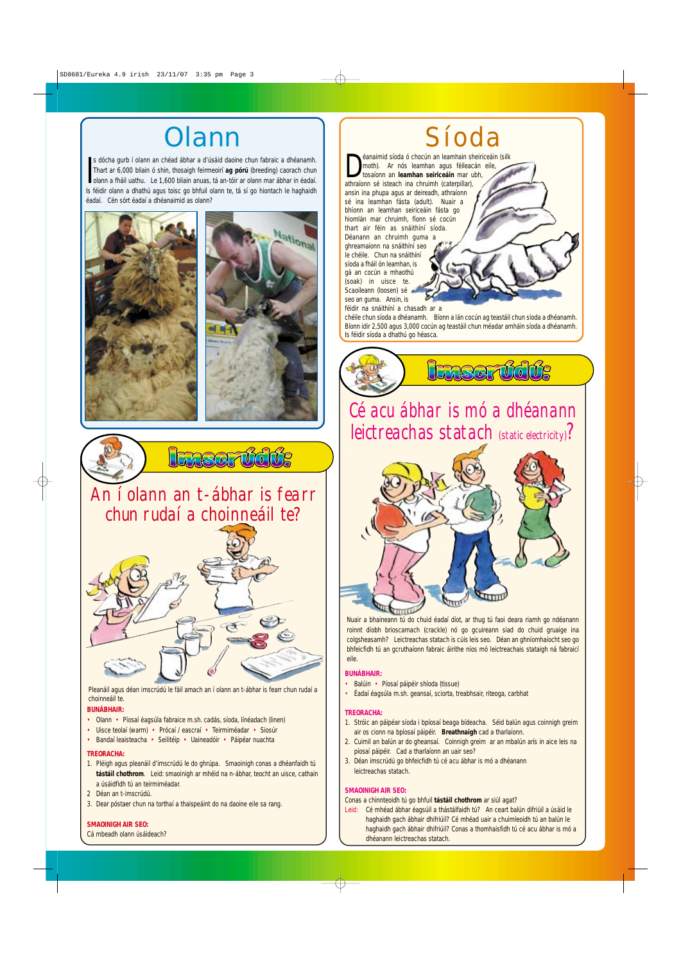## An í olann an t-ábhar is fearr chun rudaí a choinneáil te?



## **BUNÁBHAIR:**

- Olann Píosaí éagsúla fabraice m.sh. cadás, síoda, línéadach (linen)
- 

## Cé acu ábhar is mó a dhéanann leictreachas statach (static electricity)?



- Balúin Píosaí páipéir shíoda (tissue)
- Éadaí éagsúla m.sh. geansaí, sciorta, treabhsair, riteoga, carbhat

- 1. Stróic an páipéar síoda i bpíosaí beaga bídeacha. Séid balún agus coinnigh greim
- Uisce teolaí (warm) Prócaí / eascraí Teirmiméadar Siosúr
- Bandaí leaisteacha Seilitéip Uaineadóir Páipéar nuachta

## **BUNÁBHAIR:**

## **TREORACHA:**

- air os cionn na bpíosaí páipéir. **Breathnaigh** cad a tharlaíonn.
- 2. Cuimil an balún ar do gheansaí. Coinnigh greim ar an mbalún arís in aice leis na píosaí páipéir. Cad a tharlaíonn an uair seo?
- 3. Déan imscrúdú go bhfeicfidh tú cé acu ábhar is mó a dhéanann leictreachas statach.

## **SMAOINIGH AIR SEO:**

**Example 15 an** écric an leamhain shouth). Ar nós leamhan agus féileach tosaíonn an leamhan seiriceáin mar un athraíonn sé isteach ina chruimh (caterpillar), éanaimid síoda ó chocún an leamhain sheiriceáin (silk moth). Ar nós leamhan agus féileacán eile, tosaíonn an **leamhan seiriceáin** mar ubh, ansin ina phupa agus ar deireadh, athraíonn sé ina leamhan fásta (adult). Nuair a bhíonn an leamhan seiriceáin fásta go hiomlán mar chruimh, fíonn sé cocún thart air féin as snáithíní síoda. Déanann an chruimh guma a ghreamaíonn na snáithíní seo le chéile. Chun na snáithíní síoda a fháil ón leamhan, is gá an cocún a mhaothú (soak) in uisce te. Scaoileann (loosen) sé

Conas a chinnteoidh tú go bhfuil **tástáil chothrom** ar siúl agat?

*Leid:* Cé mhéad ábhar éagsúil a thástálfaidh tú? An ceart balún difriúil a úsáid le haghaidh gach ábhair dhifriúil? Cé mhéad uair a chuimleoidh tú an balún le haghaidh gach ábhair dhifriúil? Conas a thomhaisfidh tú cé acu ábhar is mó a dhéanann leictreachas statach.

s dócha gurb í olann an chéad ábhar a d'úsáid daoine chun fabraic a dhéanamh.<br>Thart ar 6,000 bliain ó shin, thosaigh feirmeoirí **ag pórú** (breeding) caorach chun olann a fháil uathu. Le 1,600 bliain anuas, tá an-tóir ar ol s dócha gurb í olann an chéad ábhar a d'úsáid daoine chun fabraic a dhéanamh. Thart ar 6,000 bliain ó shin, thosaigh feirmeoirí **ag pórú** (breeding) caorach chun Is féidir olann a dhathú agus toisc go bhfuil olann te, tá sí go hiontach le haghaidh éadaí. Cén sórt éadaí a dhéanaimid as olann?







Nuair a bhaineann tú do chuid éadaí díot, ar thug tú faoi deara riamh go ndéanann roinnt díobh brioscarnach (crackle) nó go gcuireann siad do chuid gruaige ina colgsheasamh? Leictreachas statach is cúis leis seo. Déan an ghníomhaíocht seo go bhfeicfidh tú an gcruthaíonn fabraic áirithe níos mó leictreachais stataigh ná fabraicí eile.

seo an guma. Ansin, is

féidir na snáithíní a chasadh ar a chéile chun síoda a dhéanamh. Bíonn a lán cocún ag teastáil chun síoda a dhéanamh. Bíonn idir 2,500 agus 3,000 cocún ag teastáil chun méadar amháin síoda a dhéanamh. Is féidir síoda a dhathú go héasca.



# Síoda

## **TREORACHA:**

- 1. Pléigh agus pleanáil d'imscrúdú le do ghrúpa. Smaoinigh conas a dhéanfaidh tú **tástáil chothrom**. Leid: smaoinigh ar mhéid na n-ábhar, teocht an uisce, cathain a úsáidfidh tú an teirmiméadar.
- 2 Déan an t-imscrúdú.
- 3. Dear póstaer chun na torthaí a thaispeáint do na daoine eile sa rang.

### **SMAOINIGH AIR SEO:**

Cá mbeadh olann úsáideach?

Pleanáil agus déan imscrúdú le fáil amach an í olann an t-ábhar is fearr chun rudaí a choinneáil te.

## **Olann**